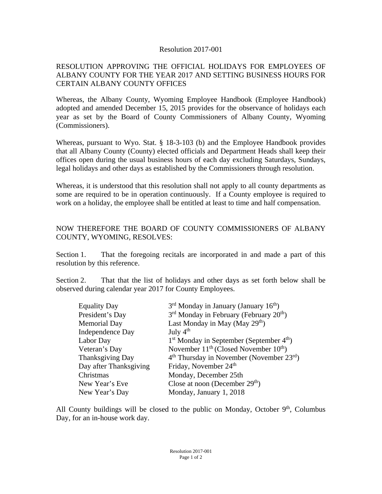## Resolution 2017-001

## RESOLUTION APPROVING THE OFFICIAL HOLIDAYS FOR EMPLOYEES OF ALBANY COUNTY FOR THE YEAR 2017 AND SETTING BUSINESS HOURS FOR CERTAIN ALBANY COUNTY OFFICES

Whereas, the Albany County, Wyoming Employee Handbook (Employee Handbook) adopted and amended December 15, 2015 provides for the observance of holidays each year as set by the Board of County Commissioners of Albany County, Wyoming (Commissioners).

Whereas, pursuant to Wyo. Stat. § 18-3-103 (b) and the Employee Handbook provides that all Albany County (County) elected officials and Department Heads shall keep their offices open during the usual business hours of each day excluding Saturdays, Sundays, legal holidays and other days as established by the Commissioners through resolution.

Whereas, it is understood that this resolution shall not apply to all county departments as some are required to be in operation continuously. If a County employee is required to work on a holiday, the employee shall be entitled at least to time and half compensation.

## NOW THEREFORE THE BOARD OF COUNTY COMMISSIONERS OF ALBANY COUNTY, WYOMING, RESOLVES:

Section 1. That the foregoing recitals are incorporated in and made a part of this resolution by this reference.

Section 2. That that the list of holidays and other days as set forth below shall be observed during calendar year 2017 for County Employees.

| <b>Equality Day</b>    | $3rd$ Monday in January (January 16 <sup>th</sup> )             |
|------------------------|-----------------------------------------------------------------|
| President's Day        | 3 <sup>rd</sup> Monday in February (February 20 <sup>th</sup> ) |
| <b>Memorial Day</b>    | Last Monday in May (May 29 <sup>th</sup> )                      |
| Independence Day       | July $4th$                                                      |
| Labor Day              | $1st$ Monday in September (September $4th$ )                    |
| Veteran's Day          | November $11^{th}$ (Closed November $10^{th}$ )                 |
| Thanksgiving Day       | $4th$ Thursday in November (November 23 <sup>rd</sup> )         |
| Day after Thanksgiving | Friday, November 24 <sup>th</sup>                               |
| Christmas              | Monday, December 25th                                           |
| New Year's Eve         | Close at noon (December $29th$ )                                |
| New Year's Day         | Monday, January 1, 2018                                         |

All County buildings will be closed to the public on Monday, October  $9<sup>th</sup>$ , Columbus Day, for an in-house work day.